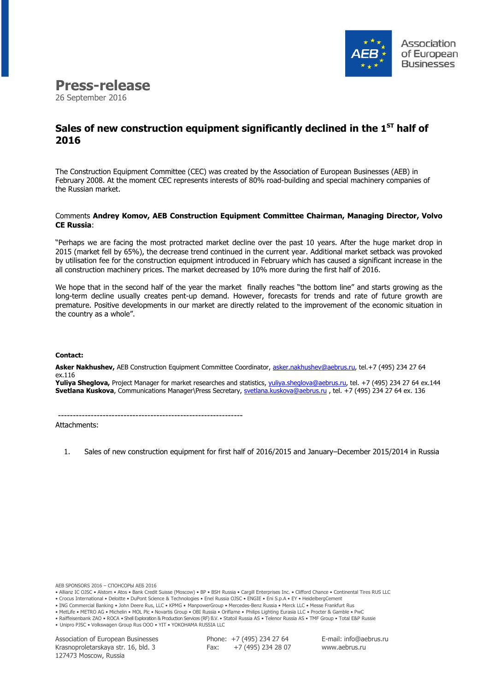

# **Press-release**

26 September 2016

## Sales of new construction equipment significantly declined in the 1<sup>st</sup> half of **2016**

The Construction Equipment Committee (CEC) was created by the Association of European Businesses (AEB) in February 2008. At the moment CEC represents interests of 80% road-building and special machinery companies of the Russian market.

#### Comments **Andrey Komov, AEB Construction Equipment Committee Chairman, Managing Director, Volvo CE Russia**:

"Perhaps we are facing the most protracted market decline over the past 10 years. After the huge market drop in 2015 (market fell by 65%), the decrease trend continued in the current year. Additional market setback was provoked by utilisation fee for the construction equipment introduced in February which has caused a significant increase in the all construction machinery prices. The market decreased by 10% more during the first half of 2016.

We hope that in the second half of the year the market finally reaches "the bottom line" and starts growing as the long-term decline usually creates pent-up demand. However, forecasts for trends and rate of future growth are premature. Positive developments in our market are directly related to the improvement of the economic situation in the country as a whole".

#### **Сontact:**

**Asker Nakhushev,** AEB Construction Equipment Committee Coordinator, [asker.nakhushev@aebrus.ru,](mailto:asker.nakhushev@aebrus.ru) tel.+7 (495) 234 27 64 ex.116

**Yuliya Sheglova,** Project Manager for market researches and statistics, [yuliya.sheglova@aebrus.ru,](mailto:yuliya.sheglova@aebrus.ru) tel. +7 (495) 234 27 64 ex.144 **Svetlana Kuskova**, Communications Manager\Press Secretary, [svetlana.kuskova@aebrus.ru](mailto:svetlana.kuskova@aebrus.ru) , tel. +7 (495) 234 27 64 ex. 136

--------------------------------------------------------------

Attachments:

1. Sales of new construction equipment for first half of 2016/2015 and January–December 2015/2014 in Russia

AEB SPONSORS 2016 – СПОНСОРЫ АЕБ 2016

Phone: +7 (495) 234 27 64 Fax: +7 (495) 234 28 07

<sup>•</sup> Allianz IC OJSC • Alstom • Atos • Bank Credit Suisse (Moscow) • BP • BSH Russia • Cargill Enterprises Inc. • Clifford Chance • Continental Tires RUS LLC

<sup>•</sup> Crocus International • Deloitte • DuPont Science & Technologies • Enel Russia OJSC • ENGIE • Eni S.p.A • EY • HeidelbergCement

<sup>•</sup> ING Commercial Banking • John Deere Rus, LLC • KPMG • ManpowerGroup • Mercedes-Benz Russia • Merck LLC • Messe Frankfurt Rus

<sup>•</sup> MetLife • METRO AG • Michelin • MOL Plc • Novartis Group • OBI Russia • Oriflame • Philips Lighting Eurasia LLC • Procter & Gamble • PwC

<sup>•</sup> Raiffeisenbank ZAO • ROCA • Shell Exploration & Production Services (RF) B.V. • Statoil Russia AS • Telenor Russia AS • TMF Group • Total E&P Russie

<sup>•</sup> Unipro PJSC • Volkswagen Group Rus OOO • YIT • YOKOHAMA RUSSIA LLC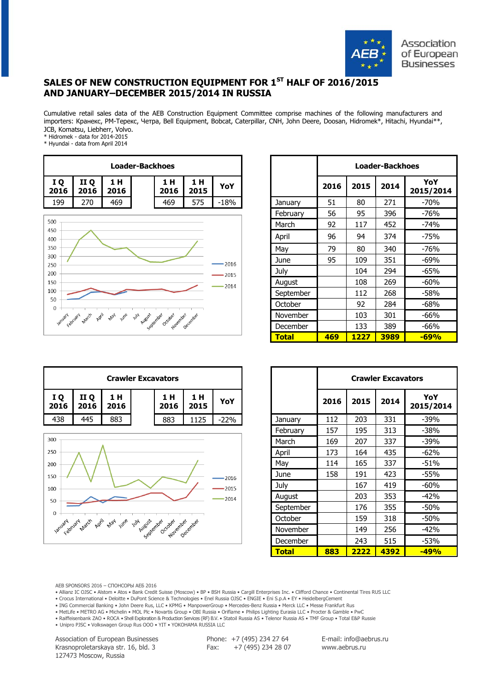

### **SALES OF NEW CONSTRUCTION EQUIPMENT FOR 1ST HALF OF 2016/2015 AND JANUARY–DECEMBER 2015/2014 IN RUSSIA**

Cumulative retail sales data of the AEB Construction Equipment Committee comprise machines of the following manufacturers and importers: Кранекс, РМ-Терекс, Четра, Bell Equipment, Bobcat, Caterpillar, CNH, John Deere, Doosan, Hidromek\*, Hitachi, Hyundai\*\*, JCB, Komatsu, Liebherr, Volvo.

\* Hidromek - data for 2014-2015

\* Hyundai - data from April 2014





|             |         |              |      |      | <b>Loader-Backhoes</b> |                  |
|-------------|---------|--------------|------|------|------------------------|------------------|
| 1 H<br>2015 | YoY     |              | 2016 | 2015 | 2014                   | YoY<br>2015/2014 |
| 575         | -18%    | January      | 51   | 80   | 271                    | $-70%$           |
|             |         | February     | 56   | 95   | 396                    | $-76%$           |
|             |         | March        | 92   | 117  | 452                    | $-74%$           |
|             |         | April        | 96   | 94   | 374                    | -75%             |
|             |         | May          | 79   | 80   | 340                    | $-76%$           |
|             | $-2016$ | June         | 95   | 109  | 351                    | -69%             |
|             | 2015    | July         |      | 104  | 294                    | $-65%$           |
|             | 2014    | August       |      | 108  | 269                    | -60%             |
|             |         | September    |      | 112  | 268                    | $-58%$           |
|             |         | October      |      | 92   | 284                    | $-68%$           |
| ember       |         | November     |      | 103  | 301                    | -66%             |
|             |         | December     |      | 133  | 389                    | $-66%$           |
|             |         | <b>Total</b> | 469  | 1227 | 3989                   | <u>-69%</u>      |





|             |        |                 |      |      | <b>Crawler Excavators</b> |                  |
|-------------|--------|-----------------|------|------|---------------------------|------------------|
|             |        |                 |      |      |                           |                  |
| 1 H<br>2015 | YoY    |                 | 2016 | 2015 | 2014                      | YoY<br>2015/2014 |
| 1125        | $-22%$ | January         | 112  | 203  | 331                       | $-39%$           |
|             |        | February        | 157  | 195  | 313                       | -38%             |
|             |        | March           | 169  | 207  | 337                       | $-39%$           |
|             |        | April           | 173  | 164  | 435                       | $-62%$           |
|             |        | May             | 114  | 165  | 337                       | $-51%$           |
|             | 2016   | June            | 158  | 191  | 423                       | -55%             |
|             | 2015   | July            |      | 167  | 419                       | $-60%$           |
|             | 2014   | August          |      | 203  | 353                       | -42%             |
|             |        | September       |      | 176  | 355                       | $-50%$           |
|             |        | October         |      | 159  | 318                       | -50%             |
| imper       |        | November        |      | 149  | 256                       | -42%             |
|             |        | <b>December</b> |      | 243  | 515                       | -53%             |
|             |        | Total           | 883  | 2222 | 4392                      | $-49%$           |

AEB SPONSORS 2016 – СПОНСОРЫ АЕБ 2016

• Allianz IC OJSC • Alstom • Atos • Bank Credit Suisse (Moscow) • BP • BSH Russia • Cargill Enterprises Inc. • Clifford Chance • Continental Tires RUS LLC

• Crocus International • Deloitte • DuPont Science & Technologies • Enel Russia OJSC • ENGIE • Eni S.p.A • EY • HeidelbergCement

• ING Commercial Banking • John Deere Rus, LLC • KPMG • ManpowerGroup • Mercedes-Benz Russia • Merck LLC • Messe Frankfurt Rus

• MetLife • METRO AG • Michelin • MOL Plc • Novartis Group • OBI Russia • Oriflame • Philips Lighting Eurasia LLC • Procter & Gamble • PwC

• Raiffeisenbank ZAO • ROCA • Shell Exploration & Production Services (RF) B.V. • Statoil Russia AS • Telenor Russia AS • TMF Group • Total E&P Russie

• Unipro PJSC • Volkswagen Group Rus OOO • YIT • YOKOHAMA RUSSIA LLC

Association of European Businesses Krasnoproletarskaya str. 16, bld. 3 127473 Moscow, Russia

Phone: +7 (495) 234 27 64 Fax: +7 (495) 234 28 07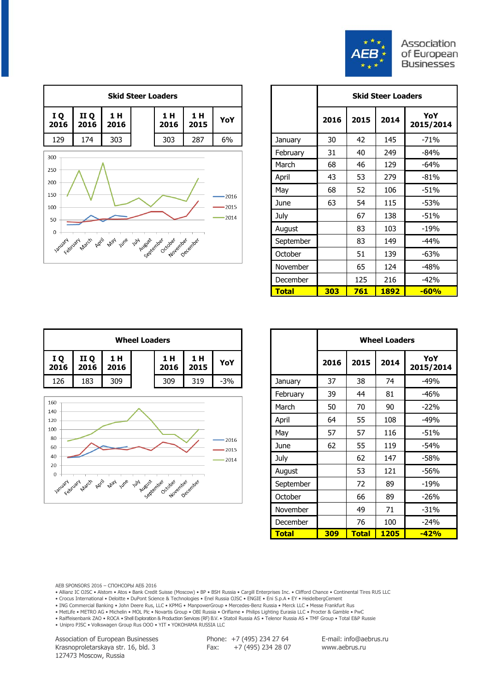

Association of European **Businesses** 



|             |         | <b>Skid Steer Loaders</b> |      |      |      |                  |  |  |
|-------------|---------|---------------------------|------|------|------|------------------|--|--|
| 1 H<br>2015 | YoY     |                           | 2016 | 2015 | 2014 | YoY<br>2015/2014 |  |  |
| 287         | 6%      | January                   | 30   | 42   | 145  | $-71%$           |  |  |
|             |         | February                  | 31   | 40   | 249  | $-84%$           |  |  |
|             |         | March                     | 68   | 46   | 129  | $-64%$           |  |  |
|             |         | April                     | 43   | 53   | 279  | $-81%$           |  |  |
|             | $-2016$ | May                       | 68   | 52   | 106  | $-51%$           |  |  |
|             | .2015   | June                      | 63   | 54   | 115  | $-53%$           |  |  |
|             | $-2014$ | July                      |      | 67   | 138  | $-51%$           |  |  |
|             |         | August                    |      | 83   | 103  | $-19%$           |  |  |
| imper       |         | September                 |      | 83   | 149  | $-44%$           |  |  |
|             |         | October                   |      | 51   | 139  | $-63%$           |  |  |
|             |         | November                  |      | 65   | 124  | $-48%$           |  |  |
|             |         | December                  |      | 125  | 216  | $-42%$           |  |  |
|             |         | <b>Total</b>              | 303  | 761  | 1892 | $-60%$           |  |  |

|              |              |             | <b>Wheel Loaders</b> |             |             |       |         |      |      | <b>Wheel Loaders</b> |               |
|--------------|--------------|-------------|----------------------|-------------|-------------|-------|---------|------|------|----------------------|---------------|
| $IQ$<br>2016 | II Q<br>2016 | 1 H<br>2016 |                      | 1 H<br>2016 | 1 H<br>2015 | YoY   |         | 2016 | 2015 | 2014                 | YoY<br>2015/2 |
| 126          | 183          | 309         |                      | 309         | 319         | $-3%$ | Januarv | 37   | 38   | 74                   | $-49%$        |



|                                   | <b>Wheel Loaders</b>               |             |                 |              |      |              | <b>Wheel Loaders</b> |  |
|-----------------------------------|------------------------------------|-------------|-----------------|--------------|------|--------------|----------------------|--|
| н<br>16                           | 1 H<br>2016                        | 1 H<br>2015 | YoY             |              | 2016 | 2015         | 2014                 |  |
| 09                                | 309                                | 319         | $-3%$           | January      | 37   | 38           | 74                   |  |
|                                   |                                    |             |                 | February     | 39   | 44           | 81                   |  |
|                                   |                                    |             |                 | March        | 50   | 70           | 90                   |  |
|                                   |                                    |             |                 | April        | 64   | 55           | 108                  |  |
|                                   |                                    |             |                 | May          | 57   | 57           | 116                  |  |
|                                   |                                    |             | $-2016$<br>2015 | June         | 62   | 55           | 119                  |  |
|                                   |                                    |             | 2014            | July         |      | 62           | 147                  |  |
|                                   |                                    |             |                 | August       |      | 53           | 121                  |  |
| <b>Aune</b><br>$v_{\nu}^{\prime}$ | severage degree de cheer<br>August |             |                 | September    |      | 72           | 89                   |  |
|                                   |                                    |             |                 | October      |      | 66           | 89                   |  |
|                                   |                                    |             |                 | November     |      | 49           | 71                   |  |
|                                   |                                    |             |                 | December     |      | 76           | 100                  |  |
|                                   |                                    |             |                 | <b>Total</b> | 309  | <b>Total</b> | 1205                 |  |

AEB SPONSORS 2016 – СПОНСОРЫ АЕБ 2016

• Allianz IC OJSC • Alstom • Atos • Bank Credit Suisse (Moscow) • BP • BSH Russia • Cargill Enterprises Inc. • Clifford Chance • Continental Tires RUS LLC

• Crocus International • Deloitte • DuPont Science & Technologies • Enel Russia OJSC • ENGIE • Eni S.p.A • EY • HeidelbergCement

• ING Commercial Banking • John Deere Rus, LLC • KPMG • ManpowerGroup • Mercedes-Benz Russia • Merck LLC • Messe Frankfurt Rus<br>• MetLife • METRO AG • Michelin • MOL Plc • Novartis Group • OBI Russia • Oriflame • Philips Li

• Raiffeisenbank ZAO • ROCA • Shell Exploration & Production Services (RF) B.V. • Statoil Russia AS • Telenor Russia AS • TMF Group • Total E&P Russie

• Unipro PJSC • Volkswagen Group Rus OOO • YIT • YOKOHAMA RUSSIA LLC

Association of European Businesses Krasnoproletarskaya str. 16, bld. 3 127473 Moscow, Russia

Phone: +7 (495) 234 27 64 Fax: +7 (495) 234 28 07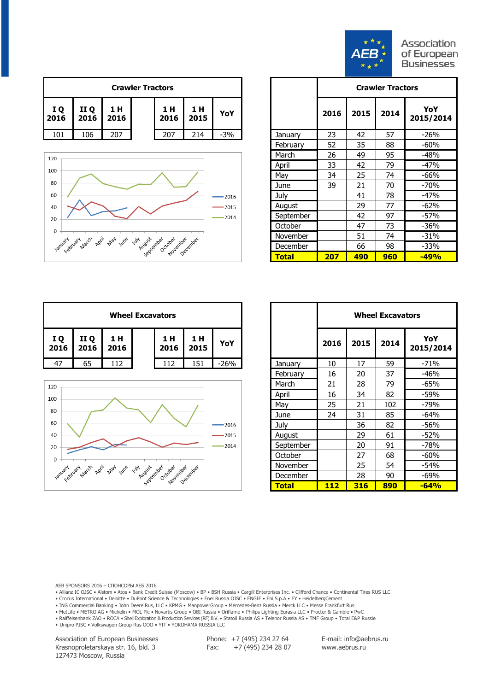

|                                              |              |             | <b>Crawler Tractors</b> |             |             |       |         |      |      | <b>Crawler Tractors</b> |               |
|----------------------------------------------|--------------|-------------|-------------------------|-------------|-------------|-------|---------|------|------|-------------------------|---------------|
| $\begin{array}{c} 1 \ Q \\ 2016 \end{array}$ | II Q<br>2016 | 1 H<br>2016 |                         | 1 H<br>2016 | 1 H<br>2015 | YoY   |         | 2016 | 2015 | 2014                    | YoY<br>2015/2 |
| 101                                          | 106          | 207         |                         | 207         | 214         | $-3%$ | January | 23   | 42   | 57                      | $-26%$        |



|            | <b>Crawler Tractors</b> |                                         |             |         |           |      |      | <b>Crawler Tractors</b> |                  |
|------------|-------------------------|-----------------------------------------|-------------|---------|-----------|------|------|-------------------------|------------------|
| 1 H<br>016 |                         | 1 H<br>2016                             | 1 H<br>2015 | YoY     |           | 2016 | 2015 | 2014                    | YoY<br>2015/2014 |
| 207        |                         | 207                                     | 214         | $-3%$   | January   | 23   | 42   | 57                      | $-26%$           |
|            |                         |                                         |             |         | February  | 52   | 35   | 88                      | $-60%$           |
|            |                         |                                         |             |         | March     | 26   | 49   | 95                      | $-48%$           |
|            |                         |                                         |             |         | April     | 33   | 42   | 79                      | $-47%$           |
|            |                         |                                         |             |         | May       | 34   | 25   | 74                      | $-66%$           |
|            |                         |                                         |             |         | June      | 39   | 21   | 70                      | $-70%$           |
|            |                         |                                         |             | $-2016$ | July      |      | 41   | 78                      | $-47%$           |
|            |                         |                                         |             | $-2015$ | August    |      | 29   | 77                      | $-62%$           |
|            |                         |                                         |             | $-2014$ | September |      | 42   | 97                      | $-57%$           |
|            |                         |                                         |             |         | October   |      | 47   | 73                      | $-36%$           |
|            |                         |                                         |             |         | November  |      | 51   | 74                      | $-31%$           |
|            |                         | at une unt August de Conseil de General |             |         | December  |      | 66   | 98                      | $-33%$           |
|            |                         |                                         |             |         | Total     | 207  | 490  | 960                     | <b>-49%</b>      |

|              |              |             | <b>Wheel Excavators</b> |             |        |         |      |      | <b>Wheel Excavators</b> |               |
|--------------|--------------|-------------|-------------------------|-------------|--------|---------|------|------|-------------------------|---------------|
| $IQ$<br>2016 | II Q<br>2016 | 1 H<br>2016 | 1 H<br>2016             | 1 H<br>2015 | YoY    |         | 2016 | 2015 | 2014                    | YoY<br>2015/2 |
| 47           | 65           | 112         | 112                     | 151         | $-26%$ | January | 10   | 17   | 59                      | $-71%$        |



| <b>Wheel Excavators</b> |                                     |             |         |              | <b>Wheel Excavators</b> |      |      |                  |  |  |
|-------------------------|-------------------------------------|-------------|---------|--------------|-------------------------|------|------|------------------|--|--|
| 1 H<br>2016             | 1 H<br>2016                         | 1 H<br>2015 | YoY     |              | 2016                    | 2015 | 2014 | YoY<br>2015/2014 |  |  |
| 112                     | 112                                 | 151         | $-26%$  | January      | 10                      | 17   | 59   | $-71%$           |  |  |
|                         |                                     |             |         | February     | 16                      | 20   | 37   | $-46%$           |  |  |
|                         |                                     |             |         | March        | 21                      | 28   | 79   | $-65%$           |  |  |
|                         |                                     |             |         | April        | 16                      | 34   | 82   | -59%             |  |  |
|                         |                                     |             |         | May          | 25                      | 21   | 102  | $-79%$           |  |  |
|                         |                                     |             |         | June         | 24                      | 31   | 85   | $-64%$           |  |  |
|                         |                                     |             | $-2016$ | <b>July</b>  |                         | 36   | 82   | -56%             |  |  |
|                         |                                     |             | $-2015$ | August       |                         | 29   | 61   | $-52%$           |  |  |
|                         |                                     |             | 2014    | September    |                         | 20   | 91   | $-78%$           |  |  |
|                         |                                     |             |         | October      |                         | 27   | 68   | $-60%$           |  |  |
| June<br>184             |                                     |             |         | November     |                         | 25   | 54   | $-54%$           |  |  |
|                         | hum August entre October de Gentler |             |         | December     |                         | 28   | 90   | -69%             |  |  |
|                         |                                     |             |         | <b>Total</b> | <b>112</b>              | 316  | 890  | $-64%$           |  |  |

AEB SPONSORS 2016 – СПОНСОРЫ АЕБ 2016

• Allianz IC OJSC • Alstom • Atos • Bank Credit Suisse (Moscow) • BP • BSH Russia • Cargill Enterprises Inc. • Clifford Chance • Continental Tires RUS LLC

• Crocus International • Deloitte • DuPont Science & Technologies • Enel Russia OJSC • ENGIE • Eni S.p.A • EY • HeidelbergCement

• ING Commercial Banking • John Deere Rus, LLC • KPMG • ManpowerGroup • Mercedes-Benz Russia • Merck LLC • Messe Frankfurt Rus<br>• MetLife • METRO AG • Michelin • MOL Plc • Novartis Group • OBI Russia • Oriflame • Philips Li

• Raiffeisenbank ZAO • ROCA • Shell Exploration & Production Services (RF) B.V. • Statoil Russia AS • Telenor Russia AS • TMF Group • Total E&P Russie

• Unipro PJSC • Volkswagen Group Rus OOO • YIT • YOKOHAMA RUSSIA LLC

Association of European Businesses Krasnoproletarskaya str. 16, bld. 3 127473 Moscow, Russia

Phone: +7 (495) 234 27 64 Fax: +7 (495) 234 28 07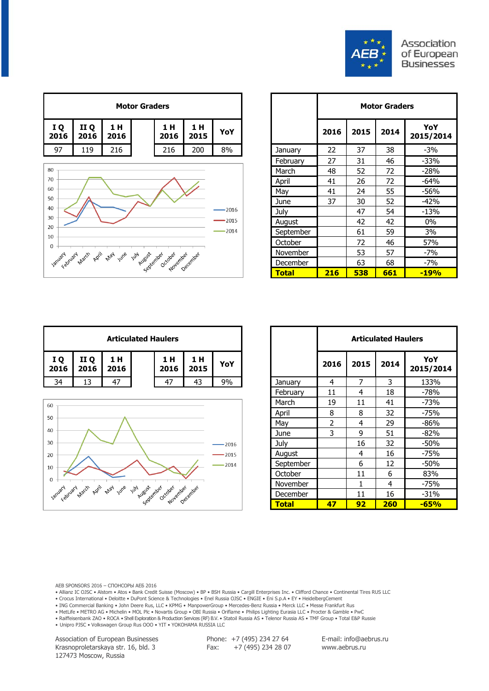

Association of European **Businesses** 



|             |         |              |      |      | <b>Motor Graders</b> |                  |
|-------------|---------|--------------|------|------|----------------------|------------------|
| 1 H<br>2015 | YoY     |              | 2016 | 2015 | 2014                 | YoY<br>2015/2014 |
| 200         | 8%      | January      | 22   | 37   | 38                   | $-3%$            |
|             |         | February     | 27   | 31   | 46                   | $-33%$           |
|             |         | March        | 48   | 52   | 72                   | $-28%$           |
|             |         | April        | 41   | 26   | 72                   | $-64%$           |
|             |         | May          | 41   | 24   | 55                   | $-56%$           |
|             |         | June         | 37   | 30   | 52                   | $-42%$           |
|             | $-2016$ | July         |      | 47   | 54                   | $-13%$           |
|             | $-2015$ | August       |      | 42   | 42                   | $0\%$            |
|             | $-2014$ | September    |      | 61   | 59                   | 3%               |
|             |         | October      |      | 72   | 46                   | 57%              |
|             |         | November     |      | 53   | 57                   | $-7%$            |
| emper       |         | December     |      | 63   | 68                   | $-7%$            |
|             |         | <b>Total</b> | 216  | 538  | 661                  | $-19%$           |





|             |         |              |                |      | <b>Articulated Haulers</b> |                  |
|-------------|---------|--------------|----------------|------|----------------------------|------------------|
| 1 H<br>2015 | YoY     |              | 2016           | 2015 | 2014                       | YoY<br>2015/2014 |
| 43          | 9%      | January      | 4              | 7    | 3                          | 133%             |
|             |         | February     | 11             | 4    | 18                         | $-78%$           |
|             |         | March        | 19             | 11   | 41                         | $-73%$           |
|             |         | April        | 8              | 8    | 32                         | -75%             |
|             |         | May          | $\overline{2}$ | 4    | 29                         | $-86%$           |
|             |         | June         | 3              | 9    | 51                         | $-82%$           |
|             | $-2016$ | <b>July</b>  |                | 16   | 32                         | $-50%$           |
|             | $-2015$ | August       |                | 4    | 16                         | -75%             |
|             | $-2014$ | September    |                | 6    | 12                         | $-50%$           |
|             |         | October      |                | 11   | 6                          | 83%              |
|             |         | November     |                | 1    | 4                          | -75%             |
| imber       |         | December     |                | 11   | 16                         | $-31%$           |
|             |         | <b>Total</b> | 47             | 92   | 260                        | $-65%$           |

AEB SPONSORS 2016 – СПОНСОРЫ АЕБ 2016

• Allianz IC OJSC • Alstom • Atos • Bank Credit Suisse (Moscow) • BP • BSH Russia • Cargill Enterprises Inc. • Clifford Chance • Continental Tires RUS LLC

• Crocus International • Deloitte • DuPont Science & Technologies • Enel Russia OJSC • ENGIE • Eni S.p.A • EY • HeidelbergCement

• ING Commercial Banking • John Deere Rus, LLC • KPMG • ManpowerGroup • Mercedes-Benz Russia • Merck LLC • Messe Frankfurt Rus

• MetLife • METRO AG • Michelin • MOL Plc • Novartis Group • OBI Russia • Oriflame • Philips Lighting Eurasia LLC • Procter & Gamble • PwC

• Raiffeisenbank ZAO • ROCA • Shell Exploration & Production Services (RF) B.V. • Statoil Russia AS • Telenor Russia AS • TMF Group • Total E&P Russie

• Unipro PJSC • Volkswagen Group Rus OOO • YIT • YOKOHAMA RUSSIA LLC

Association of European Businesses Krasnoproletarskaya str. 16, bld. 3 127473 Moscow, Russia

Phone: +7 (495) 234 27 64 Fax: +7 (495) 234 28 07